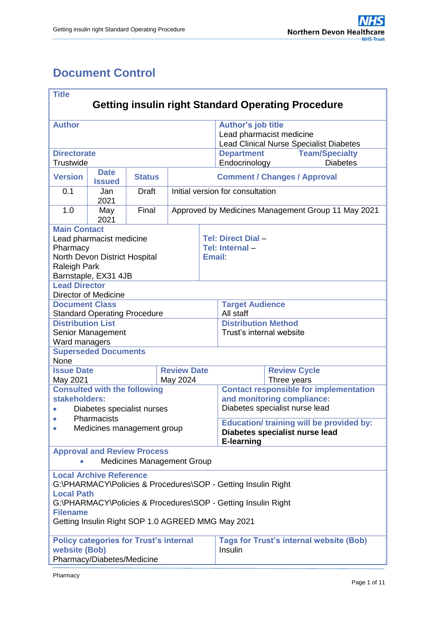# <span id="page-0-0"></span>**Document Control**

| <b>Title</b><br><b>Getting insulin right Standard Operating Procedure</b> |                                     |               |                    |        |                                                     |  |                                                    |  |  |  |
|---------------------------------------------------------------------------|-------------------------------------|---------------|--------------------|--------|-----------------------------------------------------|--|----------------------------------------------------|--|--|--|
|                                                                           |                                     |               |                    |        |                                                     |  |                                                    |  |  |  |
| <b>Author</b>                                                             |                                     |               |                    |        | Author's job title                                  |  |                                                    |  |  |  |
|                                                                           |                                     |               |                    |        | Lead pharmacist medicine                            |  |                                                    |  |  |  |
|                                                                           |                                     |               |                    |        |                                                     |  | <b>Lead Clinical Nurse Specialist Diabetes</b>     |  |  |  |
| <b>Directorate</b>                                                        |                                     |               |                    |        | <b>Department</b>                                   |  | <b>Team/Specialty</b>                              |  |  |  |
| Trustwide                                                                 |                                     |               |                    |        | Endocrinology                                       |  | <b>Diabetes</b>                                    |  |  |  |
| <b>Version</b>                                                            | <b>Date</b><br><b>Issued</b>        | <b>Status</b> |                    |        | <b>Comment / Changes / Approval</b>                 |  |                                                    |  |  |  |
| 0.1                                                                       | Jan<br>2021                         | <b>Draft</b>  |                    |        | Initial version for consultation                    |  |                                                    |  |  |  |
| 1.0                                                                       | May<br>2021                         | Final         |                    |        |                                                     |  | Approved by Medicines Management Group 11 May 2021 |  |  |  |
| <b>Main Contact</b>                                                       |                                     |               |                    |        |                                                     |  |                                                    |  |  |  |
|                                                                           | Lead pharmacist medicine            |               |                    |        | Tel: Direct Dial -                                  |  |                                                    |  |  |  |
| Pharmacy                                                                  |                                     |               |                    |        | Tel: Internal-                                      |  |                                                    |  |  |  |
|                                                                           | North Devon District Hospital       |               |                    | Email: |                                                     |  |                                                    |  |  |  |
| Raleigh Park                                                              |                                     |               |                    |        |                                                     |  |                                                    |  |  |  |
|                                                                           | Barnstaple, EX31 4JB                |               |                    |        |                                                     |  |                                                    |  |  |  |
| <b>Lead Director</b>                                                      |                                     |               |                    |        |                                                     |  |                                                    |  |  |  |
| <b>Document Class</b>                                                     | <b>Director of Medicine</b>         |               |                    |        | <b>Target Audience</b>                              |  |                                                    |  |  |  |
|                                                                           | <b>Standard Operating Procedure</b> |               |                    |        | All staff                                           |  |                                                    |  |  |  |
| <b>Distribution List</b>                                                  |                                     |               |                    |        | <b>Distribution Method</b>                          |  |                                                    |  |  |  |
|                                                                           | Senior Management                   |               |                    |        | Trust's internal website                            |  |                                                    |  |  |  |
| Ward managers                                                             |                                     |               |                    |        |                                                     |  |                                                    |  |  |  |
|                                                                           | <b>Superseded Documents</b>         |               |                    |        |                                                     |  |                                                    |  |  |  |
| None                                                                      |                                     |               |                    |        |                                                     |  |                                                    |  |  |  |
| <b>Issue Date</b>                                                         |                                     |               | <b>Review Date</b> |        | <b>Review Cycle</b>                                 |  |                                                    |  |  |  |
| May 2021                                                                  |                                     |               | May 2024           |        | Three years                                         |  |                                                    |  |  |  |
|                                                                           | <b>Consulted with the following</b> |               |                    |        | <b>Contact responsible for implementation</b>       |  |                                                    |  |  |  |
| stakeholders:                                                             |                                     |               |                    |        | and monitoring compliance:                          |  |                                                    |  |  |  |
| $\bullet$                                                                 | Diabetes specialist nurses          |               |                    |        | Diabetes specialist nurse lead                      |  |                                                    |  |  |  |
| $\bullet$                                                                 | Pharmacists                         |               |                    |        | <b>Education/ training will be provided by:</b>     |  |                                                    |  |  |  |
| Medicines management group<br>$\bullet$                                   |                                     |               |                    |        | Diabetes specialist nurse lead<br><b>E-learning</b> |  |                                                    |  |  |  |
|                                                                           | <b>Approval and Review Process</b>  |               |                    |        |                                                     |  |                                                    |  |  |  |
|                                                                           | <b>Medicines Management Group</b>   |               |                    |        |                                                     |  |                                                    |  |  |  |
|                                                                           | <b>Local Archive Reference</b>      |               |                    |        |                                                     |  |                                                    |  |  |  |
| G:\PHARMACY\Policies & Procedures\SOP - Getting Insulin Right             |                                     |               |                    |        |                                                     |  |                                                    |  |  |  |
| <b>Local Path</b>                                                         |                                     |               |                    |        |                                                     |  |                                                    |  |  |  |
| G:\PHARMACY\Policies & Procedures\SOP - Getting Insulin Right             |                                     |               |                    |        |                                                     |  |                                                    |  |  |  |
| <b>Filename</b>                                                           |                                     |               |                    |        |                                                     |  |                                                    |  |  |  |
| Getting Insulin Right SOP 1.0 AGREED MMG May 2021                         |                                     |               |                    |        |                                                     |  |                                                    |  |  |  |
|                                                                           |                                     |               |                    |        |                                                     |  |                                                    |  |  |  |
| <b>Policy categories for Trust's internal</b>                             |                                     |               |                    |        | <b>Tags for Trust's internal website (Bob)</b>      |  |                                                    |  |  |  |
| website (Bob)                                                             |                                     |               |                    |        | Insulin                                             |  |                                                    |  |  |  |
|                                                                           | Pharmacy/Diabetes/Medicine          |               |                    |        |                                                     |  |                                                    |  |  |  |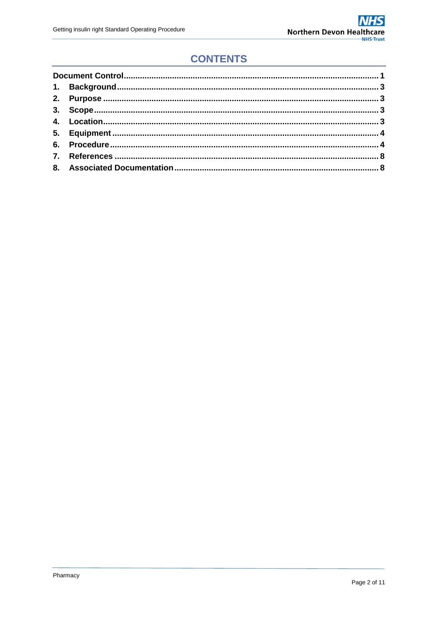## **CONTENTS**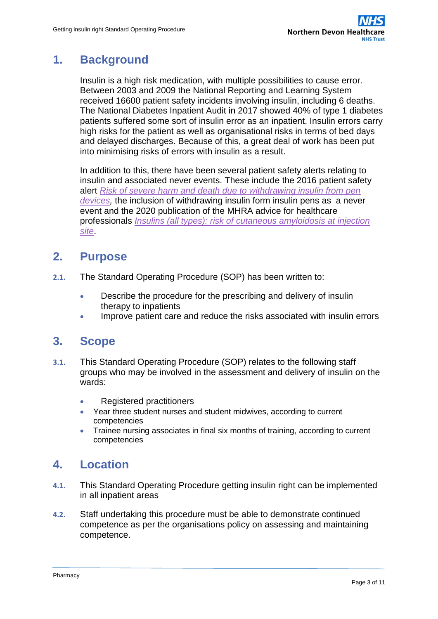#### <span id="page-2-0"></span>**1. Background**

Insulin is a high risk medication, with multiple possibilities to cause error. Between 2003 and 2009 the National Reporting and Learning System received 16600 patient safety incidents involving insulin, including 6 deaths. The National Diabetes Inpatient Audit in 2017 showed 40% of type 1 diabetes patients suffered some sort of insulin error as an inpatient. Insulin errors carry high risks for the patient as well as organisational risks in terms of bed days and delayed discharges. Because of this, a great deal of work has been put into minimising risks of errors with insulin as a result.

In addition to this, there have been several patient safety alerts relating to insulin and associated never events. These include the 2016 patient safety alert *[Risk of severe harm and death due to withdrawing insulin from pen](https://www.england.nhs.uk/wp-content/uploads/2019/12/Patient_Safety_Alert_-_Withdrawing_insulin_from_pen_devices.pdf)  [devices,](https://www.england.nhs.uk/wp-content/uploads/2019/12/Patient_Safety_Alert_-_Withdrawing_insulin_from_pen_devices.pdf)* the inclusion of withdrawing insulin form insulin pens as a never event and the 2020 publication of the MHRA advice for healthcare professionals *[Insulins \(all types\): risk of cutaneous amyloidosis at injection](https://www.gov.uk/drug-safety-update/insulins-all-types-risk-of-cutaneous-amyloidosis-at-injection-site)  [site](https://www.gov.uk/drug-safety-update/insulins-all-types-risk-of-cutaneous-amyloidosis-at-injection-site)*.

#### <span id="page-2-1"></span>**2. Purpose**

- **2.1.** The Standard Operating Procedure (SOP) has been written to:
	- Describe the procedure for the prescribing and delivery of insulin therapy to inpatients
	- Improve patient care and reduce the risks associated with insulin errors

#### <span id="page-2-2"></span>**3. Scope**

- **3.1.** This Standard Operating Procedure (SOP) relates to the following staff groups who may be involved in the assessment and delivery of insulin on the wards:
	- Registered practitioners
	- Year three student nurses and student midwives, according to current competencies
	- Trainee nursing associates in final six months of training, according to current competencies

#### <span id="page-2-3"></span>**4. Location**

- **4.1.** This Standard Operating Procedure getting insulin right can be implemented in all inpatient areas
- **4.2.** Staff undertaking this procedure must be able to demonstrate continued competence as per the organisations policy on assessing and maintaining competence.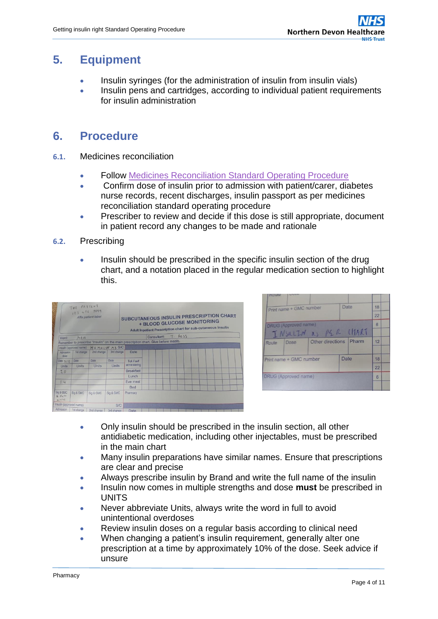#### <span id="page-3-0"></span>**5. Equipment**

- Insulin syringes (for the administration of insulin from insulin vials)
- Insulin pens and cartridges, according to individual patient requirements for insulin administration

#### <span id="page-3-1"></span>**6. Procedure**

- **6.1.** Medicines reconciliation
	- Follow [Medicines Reconciliation Standard Operating Procedure](https://ndht.ndevon.swest.nhs.uk/wp-content/uploads/2018/09/Medicines-Reconciliation.pdf)
	- Confirm dose of insulin prior to admission with patient/carer, diabetes nurse records, recent discharges, insulin passport as per medicines reconciliation standard operating procedure
	- Prescriber to review and decide if this dose is still appropriate, document in patient record any changes to be made and rationale
- **6.2.** Prescribing
	- Insulin should be prescribed in the specific insulin section of the drug chart, and a notation placed in the regular medication section to highlight this.

| THE PATTENT<br>12345<br>Affix patient label |                         |                |            | SUBCUTANEOUS INSULIN PRESCRIPTION CHART<br><b>+ BLOOD GLUCOSE MONITORING</b><br>Adult Inpatient Prescription chart for sub-cutaneous insulin |                                                                                    |            |  |  |  |  |  |
|---------------------------------------------|-------------------------|----------------|------------|----------------------------------------------------------------------------------------------------------------------------------------------|------------------------------------------------------------------------------------|------------|--|--|--|--|--|
| Ward:                                       | MAU                     |                |            |                                                                                                                                              | Consultant:                                                                        | $T - BOSS$ |  |  |  |  |  |
|                                             |                         |                |            |                                                                                                                                              | Remember to prescribe "Insulin" on the main prescription chart. Give before meals. |            |  |  |  |  |  |
|                                             | Insulin (approved name) | HUMULIN M3 SIC |            |                                                                                                                                              |                                                                                    |            |  |  |  |  |  |
| Admission<br>dose                           | 1st change              | 2nd change     | 3rd change | Date                                                                                                                                         |                                                                                    |            |  |  |  |  |  |
| Date $31/12$                                | Date                    | Date           | Date       | Tick if self                                                                                                                                 |                                                                                    |            |  |  |  |  |  |
| Units                                       | Units                   | <b>Units</b>   | Units      | administering                                                                                                                                |                                                                                    |            |  |  |  |  |  |
| 20                                          |                         |                |            | <b>Breakfast</b>                                                                                                                             |                                                                                    |            |  |  |  |  |  |
|                                             |                         |                |            | Lunch                                                                                                                                        |                                                                                    |            |  |  |  |  |  |
| 4                                           |                         |                |            | Eve meal                                                                                                                                     |                                                                                    |            |  |  |  |  |  |
|                                             |                         |                |            | <b>Bed</b>                                                                                                                                   |                                                                                    |            |  |  |  |  |  |
| Sig & GMC<br>$A - 0$ w the<br>212141        | Sig & GMC               | Sig & GMC      | Sig & GMC  | Pharmacy                                                                                                                                     |                                                                                    |            |  |  |  |  |  |
| Insulin (approved name)                     |                         |                | S/C        |                                                                                                                                              |                                                                                    |            |  |  |  |  |  |
| <b>Admission</b>                            | 1st change              | 2nd change     | 3rd change | Date                                                                                                                                         |                                                                                    |            |  |  |  |  |  |

| Route                       |                              |
|-----------------------------|------------------------------|
| Print name + GMC number     | Date<br>18                   |
|                             | 22                           |
| <b>DRUG</b> (Approved name) | 6                            |
| INSULTY as PER LITART       |                              |
| Dose<br>Route               | Other directions Pharm<br>12 |
|                             |                              |
| Print name + GMC number     | Date<br>18                   |
|                             | 22                           |
| <b>DRUG</b> (Approved name) | 6                            |
|                             |                              |

- Only insulin should be prescribed in the insulin section, all other antidiabetic medication, including other injectables, must be prescribed in the main chart
- Many insulin preparations have similar names. Ensure that prescriptions are clear and precise
- Always prescribe insulin by Brand and write the full name of the insulin
- Insulin now comes in multiple strengths and dose **must** be prescribed in UNITS
- Never abbreviate Units, always write the word in full to avoid unintentional overdoses
- Review insulin doses on a regular basis according to clinical need
- When changing a patient's insulin requirement, generally alter one prescription at a time by approximately 10% of the dose. Seek advice if unsure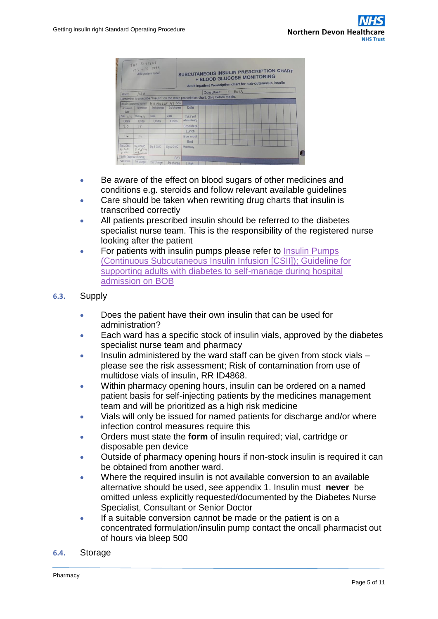| THE PATTENT<br>123 456 7899<br>Affix patient label |                                 |                |              |                  | <b>SUBCUTANEOUS INSULIN PRESCRIPTION CHART</b><br><b>+ BLOOD GLUCOSE MONITORING</b><br>Adult Inpatient Prescription chart for sub-cutaneous insulin |        |  |  |  |
|----------------------------------------------------|---------------------------------|----------------|--------------|------------------|-----------------------------------------------------------------------------------------------------------------------------------------------------|--------|--|--|--|
| Ward:                                              | MAUL                            |                |              |                  | Consultant:                                                                                                                                         | 7.6055 |  |  |  |
|                                                    |                                 |                |              |                  | Remember to prescribe "Insulin" on the main prescription chart. Give before meals.                                                                  |        |  |  |  |
|                                                    | Insulin (approved name)         | HUMULIN M3 SIC |              |                  |                                                                                                                                                     |        |  |  |  |
| Admission<br>dose                                  | fist change                     | 2nd change     | 3rd change   | Date             |                                                                                                                                                     |        |  |  |  |
| Date 31/72                                         | Date $4/1$                      | Date           | Date         | Tick if self     |                                                                                                                                                     |        |  |  |  |
| Units                                              | <b>Units</b>                    | <b>Units</b>   | <b>Units</b> | administering    |                                                                                                                                                     |        |  |  |  |
| 20                                                 | 18                              |                |              | <b>Breakfast</b> |                                                                                                                                                     |        |  |  |  |
|                                                    |                                 |                |              | Lunch            |                                                                                                                                                     |        |  |  |  |
| 14                                                 | 4                               |                |              | Fye meal         |                                                                                                                                                     |        |  |  |  |
|                                                    |                                 |                |              | <b>Bed</b>       |                                                                                                                                                     |        |  |  |  |
| Sig & GMC<br>$A - \theta$ icter<br>215141          | Sig & GMC<br>0.43<br>NML 123456 | Sig & GMC      | Sig & GMC    | Pharmacy         |                                                                                                                                                     |        |  |  |  |
|                                                    | Insulin (approved name)         |                | S/C          |                  |                                                                                                                                                     |        |  |  |  |
| Admission                                          | 1st change                      | 2nd change     | 3rd change   | Date             |                                                                                                                                                     |        |  |  |  |

- Be aware of the effect on blood sugars of other medicines and conditions e.g. steroids and follow relevant available guidelines
- Care should be taken when rewriting drug charts that insulin is transcribed correctly
- All patients prescribed insulin should be referred to the diabetes specialist nurse team. This is the responsibility of the registered nurse looking after the patient
- For patients with insulin pumps please refer to Insulin Pumps [\(Continuous Subcutaneous Insulin Infusion \[CSII\]\); Guideline for](https://ndht.ndevon.swest.nhs.uk/wp-content/uploads/2018/03/Insulin-Pumps-v1.0.pdf)  [supporting adults with diabetes to self-manage during](https://ndht.ndevon.swest.nhs.uk/wp-content/uploads/2018/03/Insulin-Pumps-v1.0.pdf) hospital [admission on BOB](https://ndht.ndevon.swest.nhs.uk/wp-content/uploads/2018/03/Insulin-Pumps-v1.0.pdf)
- **6.3.** Supply
	- Does the patient have their own insulin that can be used for administration?
	- Each ward has a specific stock of insulin vials, approved by the diabetes specialist nurse team and pharmacy
	- Insulin administered by the ward staff can be given from stock vials please see the risk assessment; Risk of contamination from use of multidose vials of insulin, RR ID4868.
	- Within pharmacy opening hours, insulin can be ordered on a named patient basis for self-injecting patients by the medicines management team and will be prioritized as a high risk medicine
	- Vials will only be issued for named patients for discharge and/or where infection control measures require this
	- Orders must state the **form** of insulin required; vial, cartridge or disposable pen device
	- Outside of pharmacy opening hours if non-stock insulin is required it can be obtained from another ward.
	- Where the required insulin is not available conversion to an available alternative should be used, see appendix 1. Insulin must **never** be omitted unless explicitly requested/documented by the Diabetes Nurse Specialist, Consultant or Senior Doctor
	- If a suitable conversion cannot be made or the patient is on a concentrated formulation/insulin pump contact the oncall pharmacist out of hours via bleep 500
- **6.4.** Storage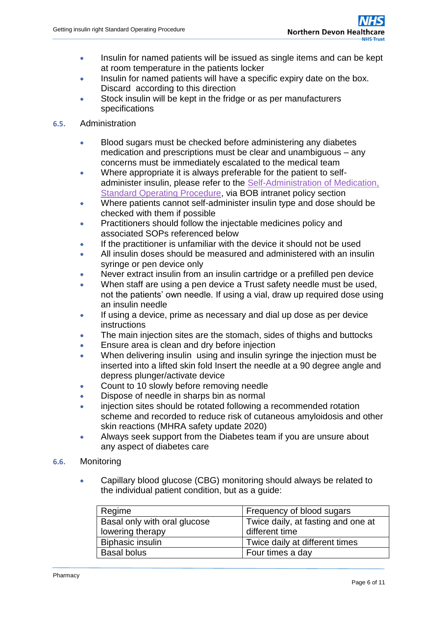- Insulin for named patients will be issued as single items and can be kept at room temperature in the patients locker
- Insulin for named patients will have a specific expiry date on the box. Discard according to this direction
- Stock insulin will be kept in the fridge or as per manufacturers specifications
- **6.5.** Administration
	- Blood sugars must be checked before administering any diabetes medication and prescriptions must be clear and unambiguous – any concerns must be immediately escalated to the medical team
	- Where appropriate it is always preferable for the patient to selfadminister insulin, please refer to the [Self-Administration of Medication,](https://www.northdevonhealth.nhs.uk/2019/07/self-administration-of-medication-standard-operating-procedure/)  [Standard Operating Procedure,](https://www.northdevonhealth.nhs.uk/2019/07/self-administration-of-medication-standard-operating-procedure/) via BOB intranet policy section
	- Where patients cannot self-administer insulin type and dose should be checked with them if possible
	- Practitioners should follow the injectable medicines policy and associated SOPs referenced below
	- If the practitioner is unfamiliar with the device it should not be used
	- All insulin doses should be measured and administered with an insulin syringe or pen device only
	- Never extract insulin from an insulin cartridge or a prefilled pen device
	- When staff are using a pen device a Trust safety needle must be used, not the patients' own needle. If using a vial, draw up required dose using an insulin needle
	- If using a device, prime as necessary and dial up dose as per device instructions
	- The main injection sites are the stomach, sides of thighs and buttocks
	- **Ensure area is clean and dry before injection**
	- When delivering insulin using and insulin syringe the injection must be inserted into a lifted skin fold Insert the needle at a 90 degree angle and depress plunger/activate device
	- Count to 10 slowly before removing needle
	- Dispose of needle in sharps bin as normal
	- injection sites should be rotated following a recommended rotation scheme and recorded to reduce risk of cutaneous amyloidosis and other skin reactions (MHRA safety update 2020)
	- Always seek support from the Diabetes team if you are unsure about any aspect of diabetes care
- **6.6.** Monitoring
	- Capillary blood glucose (CBG) monitoring should always be related to the individual patient condition, but as a guide:

| Regime                       | Frequency of blood sugars          |
|------------------------------|------------------------------------|
| Basal only with oral glucose | Twice daily, at fasting and one at |
| lowering therapy             | different time                     |
| <b>Biphasic insulin</b>      | Twice daily at different times     |
| <b>Basal bolus</b>           | Four times a day                   |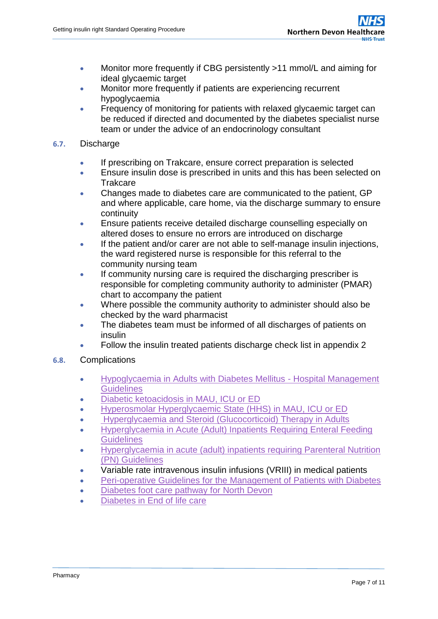- Monitor more frequently if CBG persistently >11 mmol/L and aiming for ideal glycaemic target
- Monitor more frequently if patients are experiencing recurrent hypoglycaemia
- Frequency of monitoring for patients with relaxed glycaemic target can be reduced if directed and documented by the diabetes specialist nurse team or under the advice of an endocrinology consultant

#### **6.7.** Discharge

- If prescribing on Trakcare, ensure correct preparation is selected
- Ensure insulin dose is prescribed in units and this has been selected on Trakcare
- Changes made to diabetes care are communicated to the patient, GP and where applicable, care home, via the discharge summary to ensure continuity
- Ensure patients receive detailed discharge counselling especially on altered doses to ensure no errors are introduced on discharge
- If the patient and/or carer are not able to self-manage insulin injections, the ward registered nurse is responsible for this referral to the community nursing team
- If community nursing care is required the discharging prescriber is responsible for completing community authority to administer (PMAR) chart to accompany the patient
- Where possible the community authority to administer should also be checked by the ward pharmacist
- The diabetes team must be informed of all discharges of patients on insulin
- Follow the insulin treated patients discharge check list in appendix 2
- **6.8.** Complications
	- [Hypoglycaemia in Adults with Diabetes Mellitus -](https://www.northdevonhealth.nhs.uk/wp-content/uploads/2016/04/Hypoglycaemia-in-Adults-with-Diabetes-Mellitus-V2.2-APR16-revision.pdf) Hospital Management **[Guidelines](https://www.northdevonhealth.nhs.uk/wp-content/uploads/2016/04/Hypoglycaemia-in-Adults-with-Diabetes-Mellitus-V2.2-APR16-revision.pdf)**
	- [Diabetic ketoacidosis in MAU, ICU or ED](https://ndht.ndevon.swest.nhs.uk/wp-content/uploads/2018/01/Integrated-Care-Pathway-for-the-Management-of-Diabetic-Ketoacidosis-in-Adults-v2.0.pdf)
	- [Hyperosmolar Hyperglycaemic State \(HHS\) in MAU, ICU or ED](https://ndht.ndevon.swest.nhs.uk/wp-content/uploads/2017/09/HHS-Sep17.pdf)
	- [Hyperglycaemia and Steroid \(Glucocorticoid\) Therapy in Adults](https://ndht.ndevon.swest.nhs.uk/wp-content/uploads/2016/01/Guidelines-for-Management-of-Hyperglycaemia-and-Steroid-Therapy-in-Adults-PDF-V1.0-21Jan16.pdf)
	- [Hyperglycaemia in Acute \(Adult\) Inpatients Requiring Enteral Feeding](https://www.northdevonhealth.nhs.uk/wp-content/uploads/2017/03/Managing-Hyperglycaemia-in-Acute-Adult-Inpatients-v1.0-Mar17.pdf)  **[Guidelines](https://www.northdevonhealth.nhs.uk/wp-content/uploads/2017/03/Managing-Hyperglycaemia-in-Acute-Adult-Inpatients-v1.0-Mar17.pdf)**
	- [Hyperglycaemia in acute \(adult\) inpatients requiring Parenteral Nutrition](https://ndht.ndevon.swest.nhs.uk/wp-content/uploads/2017/03/Managing-Hyperglycaemia-in-acute-adult-inpatients-requiring-TPN.pdf)  [\(PN\) Guidelines](https://ndht.ndevon.swest.nhs.uk/wp-content/uploads/2017/03/Managing-Hyperglycaemia-in-acute-adult-inpatients-requiring-TPN.pdf)
	- Variable rate intravenous insulin infusions (VRIII) in medical patients
	- [Peri-operative Guidelines for the Management of Patients with Diabetes](https://www.northdevonhealth.nhs.uk/wp-content/uploads/2017/03/Peri-Operative-Guidelines-for-the-Management-of-Patients-with-Diabetes-v2.1.pdf)
	- [Diabetes foot care pathway for North Devon](https://www.northdevonhealth.nhs.uk/wp-content/uploads/2020/04/Diabetes-Footcare-pathway-2020.pdf)
	- [Diabetes in End of life care](https://ndht.ndevon.swest.nhs.uk/wp-content/uploads/2017/09/Management-of-Diabetes-Mellitus-Guideline-at-the-End-of-Life-v1.0.pdf)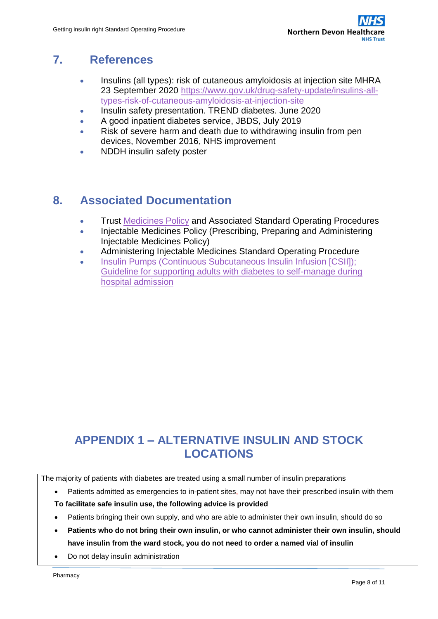#### **7. References**

- <span id="page-7-0"></span> Insulins (all types): risk of cutaneous amyloidosis at injection site MHRA 23 September 2020 [https://www.gov.uk/drug-safety-update/insulins-all](https://www.gov.uk/drug-safety-update/insulins-all-types-risk-of-cutaneous-amyloidosis-at-injection-site)[types-risk-of-cutaneous-amyloidosis-at-injection-site](https://www.gov.uk/drug-safety-update/insulins-all-types-risk-of-cutaneous-amyloidosis-at-injection-site)
- Insulin safety presentation. TREND diabetes. June 2020
- A good inpatient diabetes service, JBDS, July 2019
- Risk of severe harm and death due to withdrawing insulin from pen devices, November 2016, NHS improvement
- NDDH insulin safety poster

## <span id="page-7-1"></span>**8. Associated Documentation**

- **Trust [Medicines Policy](https://www.northdevonhealth.nhs.uk/2020/03/medicines-policy/) and Associated Standard Operating Procedures**
- **Injectable Medicines Policy (Prescribing, Preparing and Administering** Injectable Medicines Policy)
- Administering Injectable Medicines Standard Operating Procedure
- [Insulin Pumps \(Continuous Subcutaneous Insulin Infusion \[CSII\]\);](https://ndht.ndevon.swest.nhs.uk/wp-content/uploads/2018/03/Insulin-Pumps-v1.0.pdf)  [Guideline for supporting adults with diabetes to self-manage during](https://ndht.ndevon.swest.nhs.uk/wp-content/uploads/2018/03/Insulin-Pumps-v1.0.pdf)  [hospital admission](https://ndht.ndevon.swest.nhs.uk/wp-content/uploads/2018/03/Insulin-Pumps-v1.0.pdf)

# **APPENDIX 1 – ALTERNATIVE INSULIN AND STOCK LOCATIONS**

The majority of patients with diabetes are treated using a small number of insulin preparations

• Patients admitted as emergencies to in-patient sites, may not have their prescribed insulin with them

**To facilitate safe insulin use, the following advice is provided**

- Patients bringing their own supply, and who are able to administer their own insulin, should do so
- **Patients who do not bring their own insulin, or who cannot administer their own insulin, should have insulin from the ward stock, you do not need to order a named vial of insulin**
- Do not delay insulin administration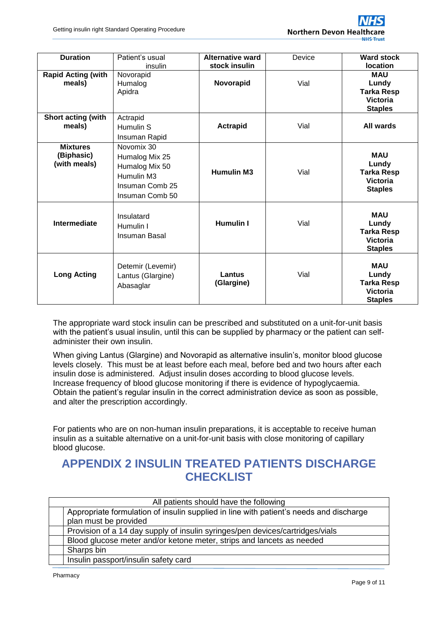

| <b>Duration</b>                               | Patient's usual<br>insulin                                                                         | <b>Alternative ward</b><br>stock insulin | Device | <b>Ward stock</b><br><b>location</b>                                          |
|-----------------------------------------------|----------------------------------------------------------------------------------------------------|------------------------------------------|--------|-------------------------------------------------------------------------------|
| <b>Rapid Acting (with</b><br>meals)           | Novorapid<br>Humalog<br>Apidra                                                                     | Novorapid                                | Vial   | <b>MAU</b><br>Lundy<br><b>Tarka Resp</b><br><b>Victoria</b><br><b>Staples</b> |
| Short acting (with<br>meals)                  | Actrapid<br>Humulin S<br>Insuman Rapid                                                             | <b>Actrapid</b>                          | Vial   | All wards                                                                     |
| <b>Mixtures</b><br>(Biphasic)<br>(with meals) | Novomix 30<br>Humalog Mix 25<br>Humalog Mix 50<br>Humulin M3<br>Insuman Comb 25<br>Insuman Comb 50 | <b>Humulin M3</b>                        | Vial   | <b>MAU</b><br>Lundy<br><b>Tarka Resp</b><br><b>Victoria</b><br><b>Staples</b> |
| Intermediate                                  | Insulatard<br>Humulin I<br>Insuman Basal                                                           | <b>Humulin I</b>                         | Vial   | <b>MAU</b><br>Lundy<br><b>Tarka Resp</b><br><b>Victoria</b><br><b>Staples</b> |
| <b>Long Acting</b>                            | Detemir (Levemir)<br>Lantus (Glargine)<br>Abasaglar                                                | Lantus<br>(Glargine)                     | Vial   | <b>MAU</b><br>Lundy<br><b>Tarka Resp</b><br><b>Victoria</b><br><b>Staples</b> |

The appropriate ward stock insulin can be prescribed and substituted on a unit-for-unit basis with the patient's usual insulin, until this can be supplied by pharmacy or the patient can selfadminister their own insulin.

When giving Lantus (Glargine) and Novorapid as alternative insulin's, monitor blood glucose levels closely. This must be at least before each meal, before bed and two hours after each insulin dose is administered. Adjust insulin doses according to blood glucose levels. Increase frequency of blood glucose monitoring if there is evidence of hypoglycaemia. Obtain the patient's regular insulin in the correct administration device as soon as possible, and alter the prescription accordingly.

For patients who are on non-human insulin preparations, it is acceptable to receive human insulin as a suitable alternative on a unit-for-unit basis with close monitoring of capillary blood glucose.

## **APPENDIX 2 INSULIN TREATED PATIENTS DISCHARGE CHECKLIST**

| All patients should have the following |                                                                                        |  |  |  |
|----------------------------------------|----------------------------------------------------------------------------------------|--|--|--|
|                                        | Appropriate formulation of insulin supplied in line with patient's needs and discharge |  |  |  |
|                                        | plan must be provided                                                                  |  |  |  |
|                                        | Provision of a 14 day supply of insulin syringes/pen devices/cartridges/vials          |  |  |  |
|                                        | Blood glucose meter and/or ketone meter, strips and lancets as needed                  |  |  |  |
|                                        | Sharps bin                                                                             |  |  |  |
|                                        | Insulin passport/insulin safety card                                                   |  |  |  |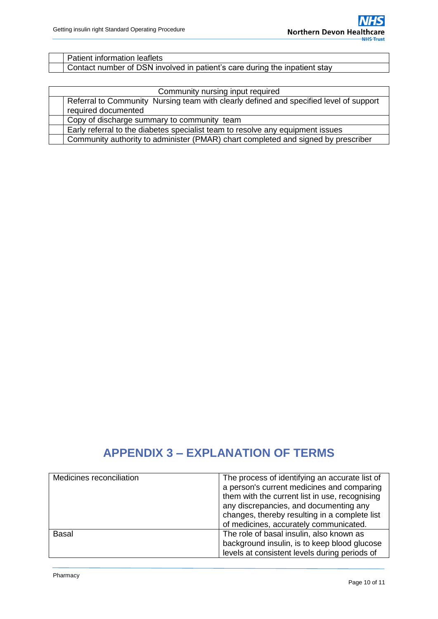| Patient information leaflets                                               |
|----------------------------------------------------------------------------|
| Contact number of DSN involved in patient's care during the inpatient stay |

| Community nursing input required                                                       |  |  |  |  |  |
|----------------------------------------------------------------------------------------|--|--|--|--|--|
| Referral to Community Nursing team with clearly defined and specified level of support |  |  |  |  |  |
| required documented                                                                    |  |  |  |  |  |
| Copy of discharge summary to community team                                            |  |  |  |  |  |
| Early referral to the diabetes specialist team to resolve any equipment issues         |  |  |  |  |  |
| Community authority to administer (PMAR) chart completed and signed by prescriber      |  |  |  |  |  |

# **APPENDIX 3 – EXPLANATION OF TERMS**

| Medicines reconciliation | The process of identifying an accurate list of |
|--------------------------|------------------------------------------------|
|                          | a person's current medicines and comparing     |
|                          | them with the current list in use, recognising |
|                          | any discrepancies, and documenting any         |
|                          | changes, thereby resulting in a complete list  |
|                          | of medicines, accurately communicated.         |
| Basal                    | The role of basal insulin, also known as       |
|                          | background insulin, is to keep blood glucose   |
|                          | levels at consistent levels during periods of  |